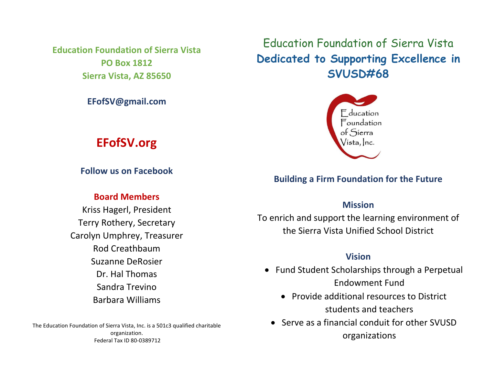**Education Foundation of Sierra Vista PO Box 1812 Sierra Vista, AZ 85650**

**EFofSV@gmail.com**

# **EFofSV.org**

**Follow us on Facebook**

## **Board Members**

Kriss Hagerl, President Terry Rothery, Secretary Carolyn Umphrey, Treasurer Rod Creathbaum Suzanne DeRosier Dr. Hal Thomas Sandra Trevino Barbara Williams

The Education Foundation of Sierra Vista, Inc. is a 501c3 qualified charitable organization. Federal Tax ID 80-0389712

Education Foundation of Sierra Vista **Dedicated to Supporting Excellence in SVUSD#68**



### **Building a Firm Foundation for the Future**

#### **Mission**

To enrich and support the learning environment of the Sierra Vista Unified School District

#### **Vision**

- Fund Student Scholarships through a Perpetual Endowment Fund
	- Provide additional resources to District students and teachers
	- Serve as a financial conduit for other SVUSD organizations